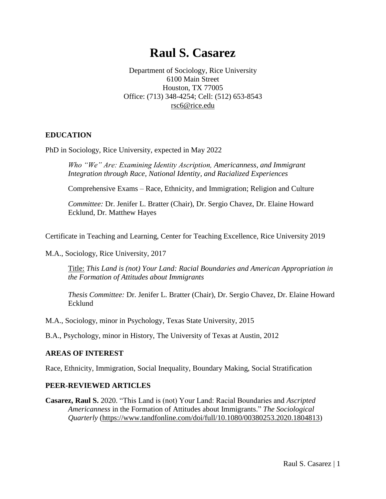# **Raul S. [Casarez](file:///C:/Users/rsc59/Documents/CV-Feb2013.docx)**

Department of Sociology, Rice University 6100 Main Street Houston, TX 77005 Office: (713) 348-4254; Cell: (512) 653-8543 [rsc6@rice.edu](mailto:rsc6@rice.edu)

## **[EDUCATION](file:///C:/Users/rsc59/Documents/CV-Feb2013.docx)**

PhD in Sociology, Rice University, expected in May 2022

*Who "We" Are: Examining Identity Ascription, Americanness, and Immigrant Integration through Race, National Identity, and Racialized Experiences* 

Comprehensive Exams – Race, Ethnicity, and Immigration; Religion and Culture

*Committee:* Dr. Jenifer L. Bratter (Chair), Dr. Sergio Chavez, Dr. Elaine Howard Ecklund, Dr. Matthew Hayes

Certificate in Teaching and Learning, Center for Teaching Excellence, Rice University 2019

M.A., Sociology, Rice University, 2017

Title: *This Land is (not) Your Land: Racial Boundaries and American Appropriation in the Formation of Attitudes about Immigrants*

*Thesis Committee:* Dr. Jenifer L. Bratter (Chair), Dr. Sergio Chavez, Dr. Elaine Howard Ecklund

M.A., Sociology, minor in Psychology, [Texas State University,](file:///C:/Users/rsc59/Documents/CV-Feb2013.docx) 2015

B.A., Psychology, minor in History, [The University of Texas at Austin,](file:///C:/Users/rsc59/Documents/CV-Feb2013.docx) 2012

### **AREAS OF INTEREST**

[Race, Ethnicity,](file:///C:/Users/rsc59/Documents/CV-Feb2013.docx) Immigration, Social Inequality, Boundary Making, Social Stratification

#### **PEER-REVIEWED ARTICLES**

**Casarez, Raul S.** 2020. "This Land is (not) Your Land: Racial Boundaries and *Ascripted Americanness* in the Formation of Attitudes about Immigrants." *The Sociological Quarterly* [\(https://www.tandfonline.com/doi/full/10.1080/00380253.2020.1804813\)](https://www.tandfonline.com/doi/full/10.1080/00380253.2020.1804813)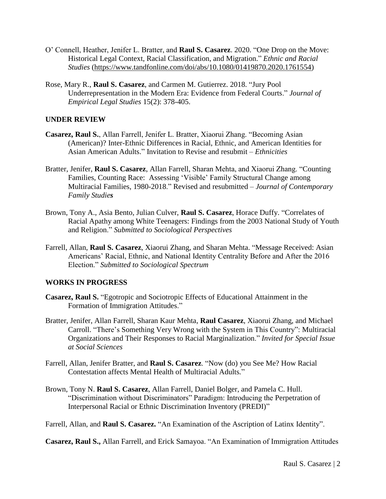- O' Connell, Heather, Jenifer L. Bratter, and **Raul S. Casarez**. 2020. "One Drop on the Move: Historical Legal Context, Racial Classification, and Migration." *Ethnic and Racial Studies* [\(https://www.tandfonline.com/doi/abs/10.1080/01419870.2020.1761554\)](https://www.tandfonline.com/doi/abs/10.1080/01419870.2020.1761554)
- Rose, Mary R., **Raul S. Casarez**, and Carmen M. Gutierrez. 2018. "Jury Pool Underrepresentation in the Modern Era: Evidence from Federal Courts." *Journal of Empirical Legal Studies* 15(2): 378-405.

#### **UNDER REVIEW**

- **Casarez, Raul S.**, Allan Farrell, Jenifer L. Bratter, Xiaorui Zhang. "Becoming Asian (American)? Inter-Ethnic Differences in Racial, Ethnic, and American Identities for Asian American Adults." Invitation to Revise and resubmit – *Ethnicities*
- Bratter, Jenifer, **Raul S. Casarez**, Allan Farrell, Sharan Mehta, and Xiaorui Zhang. "Counting Families, Counting Race: Assessing 'Visible' Family Structural Change among Multiracial Families, 1980-2018." Revised and resubmitted – *Journal of Contemporary Family Studies*
- Brown, Tony A., Asia Bento, Julian Culver, **Raul S. Casarez**, Horace Duffy. "Correlates of Racial Apathy among White Teenagers: Findings from the 2003 National Study of Youth and Religion." *Submitted to Sociological Perspectives*
- Farrell, Allan, **Raul S. Casarez**, Xiaorui Zhang, and Sharan Mehta. "Message Received: Asian Americans' Racial, Ethnic, and National Identity Centrality Before and After the 2016 Election." *Submitted to Sociological Spectrum*

#### **WORKS IN PROGRESS**

- **Casarez, Raul S.** "Egotropic and Sociotropic Effects of Educational Attainment in the Formation of Immigration Attitudes."
- Bratter, Jenifer, Allan Farrell, Sharan Kaur Mehta, **Raul Casarez**, Xiaorui Zhang, and Michael Carroll. "There's Something Very Wrong with the System in This Country": Multiracial Organizations and Their Responses to Racial Marginalization." *Invited for Special Issue at Social Sciences*
- Farrell, Allan, Jenifer Bratter, and **Raul S. Casarez**. "Now (do) you See Me? How Racial Contestation affects Mental Health of Multiracial Adults*.*"
- Brown, Tony N. **Raul S. Casarez**, Allan Farrell, Daniel Bolger, and Pamela C. Hull. "Discrimination without Discriminators" Paradigm: Introducing the Perpetration of Interpersonal Racial or Ethnic Discrimination Inventory (PREDI)"

Farrell, Allan, and **Raul S. Casarez.** "An Examination of the Ascription of Latinx Identity".

**Casarez, Raul S.,** Allan Farrell, and Erick Samayoa. "An Examination of Immigration Attitudes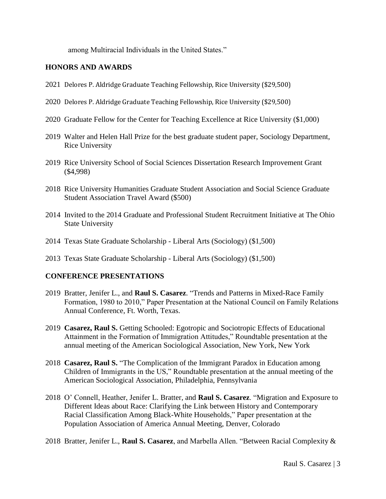among Multiracial Individuals in the United States."

## **HONORS AND AWARDS**

- 2021 Delores P. Aldridge Graduate Teaching Fellowship, Rice University (\$29,500)
- 2020 Delores P. Aldridge Graduate Teaching Fellowship, Rice University (\$29,500)
- 2020 Graduate Fellow for the Center for Teaching Excellence at Rice University (\$1,000)
- 2019 Walter and Helen Hall Prize for the best graduate student paper, Sociology Department, Rice University
- 2019 Rice University School of Social Sciences Dissertation Research Improvement Grant (\$4,998)
- 2018 Rice University Humanities Graduate Student Association and Social Science Graduate Student Association Travel Award (\$500)
- 2014 Invited to the 2014 Graduate and Professional Student Recruitment Initiative at The Ohio State University
- 2014 Texas State Graduate Scholarship Liberal Arts (Sociology) (\$1,500)
- 2013 Texas State Graduate Scholarship Liberal Arts (Sociology) (\$1,500)

### **CONFERENCE PRESENTATIONS**

- 2019 Bratter, Jenifer L., and **Raul S. Casarez**. "Trends and Patterns in Mixed-Race Family Formation, 1980 to 2010," Paper Presentation at the National Council on Family Relations Annual Conference, Ft. Worth, Texas.
- 2019 **Casarez, Raul S.** Getting Schooled: Egotropic and Sociotropic Effects of Educational Attainment in the Formation of Immigration Attitudes," Roundtable presentation at the annual meeting of the American Sociological Association, New York, New York
- 2018 **Casarez, Raul S.** "The Complication of the Immigrant Paradox in Education among Children of Immigrants in the US," Roundtable presentation at the annual meeting of the American Sociological Association, Philadelphia, Pennsylvania
- 2018 O' Connell, Heather, Jenifer L. Bratter, and **Raul S. Casarez**. "Migration and Exposure to Different Ideas about Race: Clarifying the Link between History and Contemporary Racial Classification Among Black-White Households," Paper presentation at the Population Association of America Annual Meeting, Denver, Colorado
- 2018 Bratter, Jenifer L., **Raul S. Casarez**, and Marbella Allen. "Between Racial Complexity &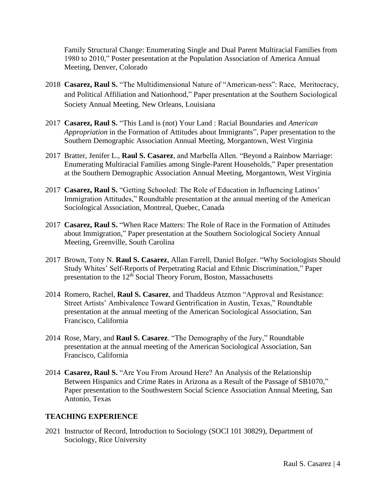Family Structural Change: Enumerating Single and Dual Parent Multiracial Families from 1980 to 2010," Poster presentation at the Population Association of America Annual Meeting, Denver, Colorado

- 2018 **Casarez, Raul S.** "The Multidimensional Nature of "American-ness": Race, Meritocracy, and Political Affiliation and Nationhood," Paper presentation at the Southern Sociological Society Annual Meeting, New Orleans, Louisiana
- 2017 **Casarez, Raul S.** "This Land is (not) Your Land : Racial Boundaries and *American Appropriation* in the Formation of Attitudes about Immigrants", Paper presentation to the Southern Demographic Association Annual Meeting, Morgantown, West Virginia
- 2017 Bratter, Jenifer L., **Raul S. Casarez**, and Marbella Allen. "Beyond a Rainbow Marriage: Enumerating Multiracial Families among Single-Parent Households," Paper presentation at the Southern Demographic Association Annual Meeting, Morgantown, West Virginia
- 2017 **Casarez, Raul S.** "Getting Schooled: The Role of Education in Influencing Latinos' Immigration Attitudes," Roundtable presentation at the annual meeting of the American Sociological Association, Montreal, Quebec, Canada
- 2017 **Casarez, Raul S.** "When Race Matters: The Role of Race in the Formation of Attitudes about Immigration," Paper presentation at the Southern Sociological Society Annual Meeting, Greenville, South Carolina
- 2017 Brown, Tony N. **Raul S. Casarez**, Allan Farrell, Daniel Bolger. "Why Sociologists Should Study Whites' Self-Reports of Perpetrating Racial and Ethnic Discrimination," Paper presentation to the  $12<sup>th</sup>$  Social Theory Forum, Boston, Massachusetts
- 2014 Romero, Rachel, **Raul S. Casarez**, and Thaddeus Atzmon "Approval and Resistance: Street Artists' Ambivalence Toward Gentrification in Austin, Texas," Roundtable presentation at the annual meeting of the American Sociological Association, San Francisco, California
- 2014 Rose, Mary, and **Raul S. Casarez**. "The Demography of the Jury," Roundtable presentation at the annual meeting of the American Sociological Association, San Francisco, California
- 2014 **Casarez, Raul S.** "Are You From Around Here? An Analysis of the Relationship Between Hispanics and Crime Rates in Arizona as a Result of the Passage of SB1070," Paper presentation to the Southwestern Social Science Association Annual Meeting, San Antonio, Texas

# **TEACHING EXPERIENCE**

2021 Instructor of Record, Introduction to Sociology (SOCI 101 30829), Department of Sociology, Rice University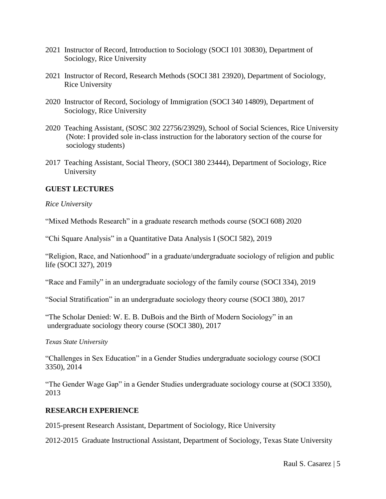- 2021 Instructor of Record, Introduction to Sociology (SOCI 101 30830), Department of Sociology, Rice University
- 2021 Instructor of Record, Research Methods (SOCI 381 23920), Department of Sociology, Rice University
- 2020 Instructor of Record, Sociology of Immigration (SOCI 340 14809), Department of Sociology, Rice University
- 2020 Teaching Assistant, (SOSC 302 22756/23929), School of Social Sciences, Rice University (Note: I provided sole in-class instruction for the laboratory section of the course for sociology students)
- 2017 Teaching Assistant, Social Theory, (SOCI 380 23444), Department of Sociology, Rice University

## **GUEST LECTURES**

*Rice University* 

"Mixed Methods Research" in a graduate research methods course (SOCI 608) 2020

"Chi Square Analysis" in a Quantitative Data Analysis I (SOCI 582), 2019

"Religion, Race, and Nationhood" in a graduate/undergraduate sociology of religion and public life (SOCI 327), 2019

"Race and Family" in an undergraduate sociology of the family course (SOCI 334), 2019

"Social Stratification" in an undergraduate sociology theory course (SOCI 380), 2017

"The Scholar Denied: W. E. B. DuBois and the Birth of Modern Sociology" in an undergraduate sociology theory course (SOCI 380), 2017

*Texas State University*

"Challenges in Sex Education" in a Gender Studies undergraduate sociology course (SOCI 3350), 2014

"The Gender Wage Gap" in a Gender Studies undergraduate sociology course at (SOCI 3350), 2013

### **RESEARCH EXPERIENCE**

2015-present Research Assistant, Department of Sociology, Rice University

2012-2015 [Graduate Instructional Assistant,](file:///C:/Users/rsc59/Documents/CV-Feb2013.docx) Department of Sociology, Texas State University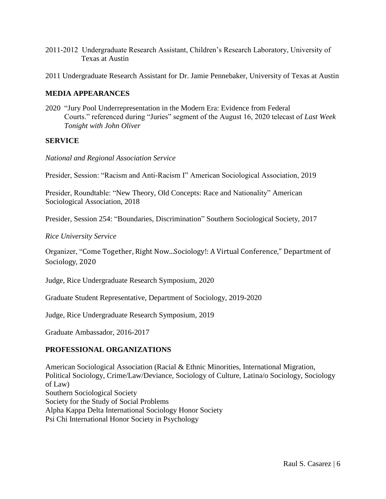- 2011-2012 Undergraduate Research Assistant, Children's Research Laboratory, University of Texas at Austin
- 2011 Undergraduate Research Assistant for Dr. Jamie Pennebaker, University of Texas at Austin

## **MEDIA APPEARANCES**

2020 "Jury Pool Underrepresentation in the Modern Era: Evidence from Federal Courts." referenced during "Juries" segment of the August 16, 2020 telecast of *Last Week Tonight with John Oliver*

### **SERVICE**

*National and Regional Association Service*

Presider, Session: "Racism and Anti-Racism I" American Sociological Association, 2019

Presider, Roundtable: "New Theory, Old Concepts: Race and Nationality" American Sociological Association, 2018

Presider, Session 254: "Boundaries, Discrimination" Southern Sociological Society, 2017

*Rice University Service*

Organizer, "Come Together, Right Now...Sociology!: A Virtual Conference," Department of Sociology, 2020

Judge, Rice Undergraduate Research Symposium, 2020

Graduate Student Representative, Department of Sociology, 2019-2020

Judge, Rice Undergraduate Research Symposium, 2019

Graduate Ambassador, 2016-2017

# **[PROFESSIONAL ORGANIZATIONS](file:///C:/Users/rsc59/Documents/CV-Feb2013.docx)**

American Sociological Association (Racial & Ethnic Minorities, International Migration, Political Sociology, Crime/Law/Deviance, Sociology of Culture, Latina/o Sociology, Sociology of Law) Southern Sociological Society Society for the Study of Social Problems Alpha Kappa Delta International Sociology Honor Society [Psi Chi International Honor Society in Psychology](file:///C:/Users/rsc59/Documents/CV-Feb2013.docx)